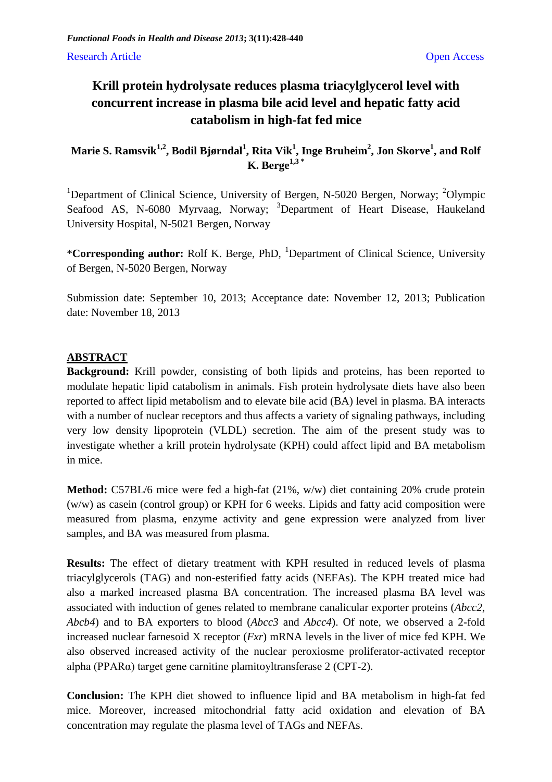## **Krill protein hydrolysate reduces plasma triacylglycerol level with concurrent increase in plasma bile acid level and hepatic fatty acid catabolism in high-fat fed mice**

**Marie S. Ramsvik1,2, Bodil Bjørndal<sup>1</sup> , Rita Vik<sup>1</sup> , Inge Bruheim<sup>2</sup> , Jon Skorve<sup>1</sup> , and Rolf K. Berge1,3 \***

<sup>1</sup>Department of Clinical Science, University of Bergen, N-5020 Bergen, Norway; <sup>2</sup>Olympic Seafood AS, N-6080 Myrvaag, Norway; <sup>3</sup>Department of Heart Disease, Haukeland University Hospital, N-5021 Bergen, Norway

\***Corresponding author:** Rolf K. Berge, PhD, <sup>1</sup>Department of Clinical Science, University of Bergen, N-5020 Bergen, Norway

Submission date: September 10, 2013; Acceptance date: November 12, 2013; Publication date: November 18, 2013

## **ABSTRACT**

**Background:** Krill powder, consisting of both lipids and proteins, has been reported to modulate hepatic lipid catabolism in animals. Fish protein hydrolysate diets have also been reported to affect lipid metabolism and to elevate bile acid (BA) level in plasma. BA interacts with a number of nuclear receptors and thus affects a variety of signaling pathways, including very low density lipoprotein (VLDL) secretion. The aim of the present study was to investigate whether a krill protein hydrolysate (KPH) could affect lipid and BA metabolism in mice.

**Method:** C57BL/6 mice were fed a high-fat (21%, w/w) diet containing 20% crude protein (w/w) as casein (control group) or KPH for 6 weeks. Lipids and fatty acid composition were measured from plasma, enzyme activity and gene expression were analyzed from liver samples, and BA was measured from plasma.

**Results:** The effect of dietary treatment with KPH resulted in reduced levels of plasma triacylglycerols (TAG) and non-esterified fatty acids (NEFAs). The KPH treated mice had also a marked increased plasma BA concentration. The increased plasma BA level was associated with induction of genes related to membrane canalicular exporter proteins (*Abcc2*, *Abcb4*) and to BA exporters to blood (*Abcc3* and *Abcc4*). Of note, we observed a 2-fold increased nuclear farnesoid X receptor (*Fxr*) mRNA levels in the liver of mice fed KPH. We also observed increased activity of the nuclear peroxiosme proliferator-activated receptor alpha (PPARα) target gene carnitine plamitoyltransferase 2 (CPT-2).

**Conclusion:** The KPH diet showed to influence lipid and BA metabolism in high-fat fed mice. Moreover, increased mitochondrial fatty acid oxidation and elevation of BA concentration may regulate the plasma level of TAGs and NEFAs.